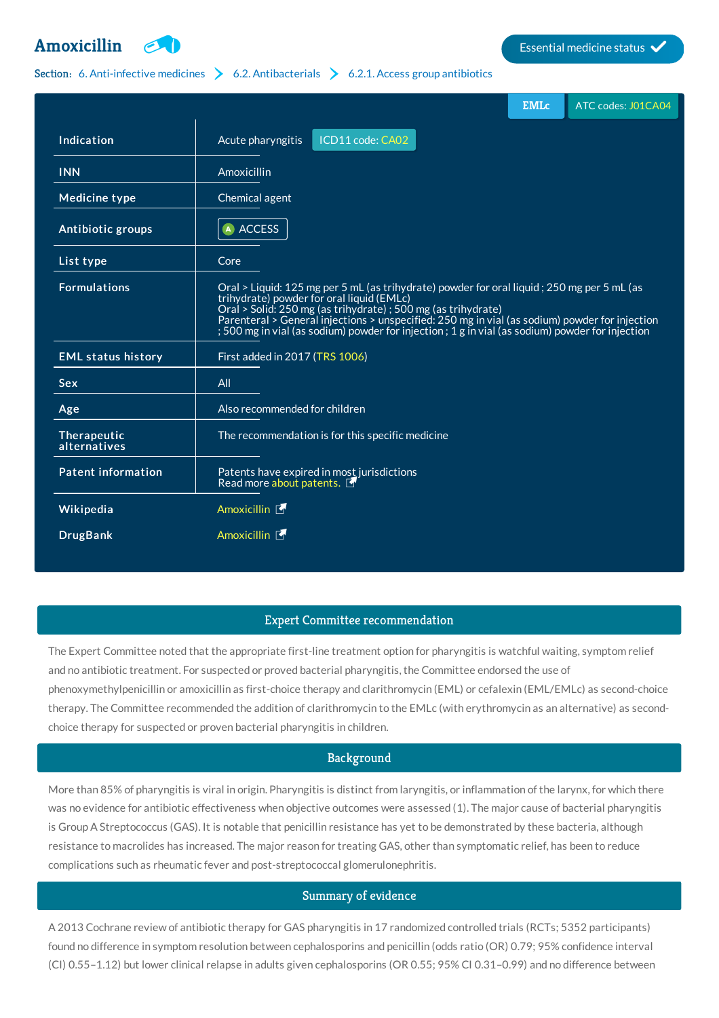

# Section: 6. [Anti-infective](http://list.essentialmeds.org/?section=332) medicines  $\geq 6.2$ . [Antibacterials](http://list.essentialmeds.org/?section=337)  $\geq 6.2.1$ . Access group [antibiotics](http://list.essentialmeds.org/?section=338)

|                             |                                                                                                                                                                                                                                                                                                                                                                                                                | <b>EMLc</b> | ATC codes: J01CA04 |
|-----------------------------|----------------------------------------------------------------------------------------------------------------------------------------------------------------------------------------------------------------------------------------------------------------------------------------------------------------------------------------------------------------------------------------------------------------|-------------|--------------------|
| Indication                  | ICD11 code: CA02<br>Acute pharyngitis                                                                                                                                                                                                                                                                                                                                                                          |             |                    |
| <b>INN</b>                  | Amoxicillin                                                                                                                                                                                                                                                                                                                                                                                                    |             |                    |
| <b>Medicine type</b>        | Chemical agent                                                                                                                                                                                                                                                                                                                                                                                                 |             |                    |
| Antibiotic groups           | A ACCESS                                                                                                                                                                                                                                                                                                                                                                                                       |             |                    |
| List type                   | Core                                                                                                                                                                                                                                                                                                                                                                                                           |             |                    |
| <b>Formulations</b>         | Oral > Liquid: 125 mg per 5 mL (as trihydrate) powder for oral liquid; 250 mg per 5 mL (as<br>trihydrate) powder for oral liquid (EMLc)<br>Oral > Solid: 250 mg (as trihydrate) ; 500 mg (as trihydrate)<br>Parenteral > General injections > unspecified: 250 mg in vial (as sodium) powder for injection<br>; 500 mg in vial (as sodium) powder for injection ; 1 g in vial (as sodium) powder for injection |             |                    |
| <b>EML status history</b>   | First added in 2017 (TRS 1006)                                                                                                                                                                                                                                                                                                                                                                                 |             |                    |
| <b>Sex</b>                  | All                                                                                                                                                                                                                                                                                                                                                                                                            |             |                    |
| Age                         | Also recommended for children                                                                                                                                                                                                                                                                                                                                                                                  |             |                    |
| Therapeutic<br>alternatives | The recommendation is for this specific medicine                                                                                                                                                                                                                                                                                                                                                               |             |                    |
| <b>Patent information</b>   | Patents have expired in most jurisdictions<br>Read more about patents.                                                                                                                                                                                                                                                                                                                                         |             |                    |
| Wikipedia                   | Amoxicillin <b>1</b>                                                                                                                                                                                                                                                                                                                                                                                           |             |                    |
| <b>DrugBank</b>             | Amoxicillin <b>上</b>                                                                                                                                                                                                                                                                                                                                                                                           |             |                    |

#### Expert Committee recommendation

The Expert Committee noted that the appropriate first-line treatment option for pharyngitis is watchful waiting, symptom relief and no antibiotic treatment. For suspected or proved bacterial pharyngitis, the Committee endorsed the use of phenoxymethylpenicillin or amoxicillin as first-choice therapy and clarithromycin (EML) or cefalexin (EML/EMLc) as second-choice therapy. The Committee recommended the addition of clarithromycin to the EMLc (with erythromycin as an alternative) as secondchoice therapy for suspected or proven bacterial pharyngitis in children.

# Background

More than 85% of pharyngitis is viral in origin. Pharyngitis is distinct from laryngitis, or inflammation of the larynx, for which there was no evidence for antibiotic effectiveness when objective outcomes were assessed (1). The major cause of bacterial pharyngitis is Group A Streptococcus (GAS). It is notable that penicillin resistance has yet to be demonstrated by these bacteria, although resistance to macrolides has increased. The major reason for treating GAS, other than symptomatic relief, has been to reduce complications such as rheumatic fever and post-streptococcal glomerulonephritis.

# Summary of evidence

A 2013 Cochrane review of antibiotic therapy for GAS pharyngitis in 17 randomized controlled trials (RCTs; 5352 participants) found no difference in symptom resolution between cephalosporins and penicillin (odds ratio (OR) 0.79; 95% confidence interval (CI) 0.55–1.12) but lower clinical relapse in adults given cephalosporins (OR 0.55; 95% CI 0.31–0.99) and no difference between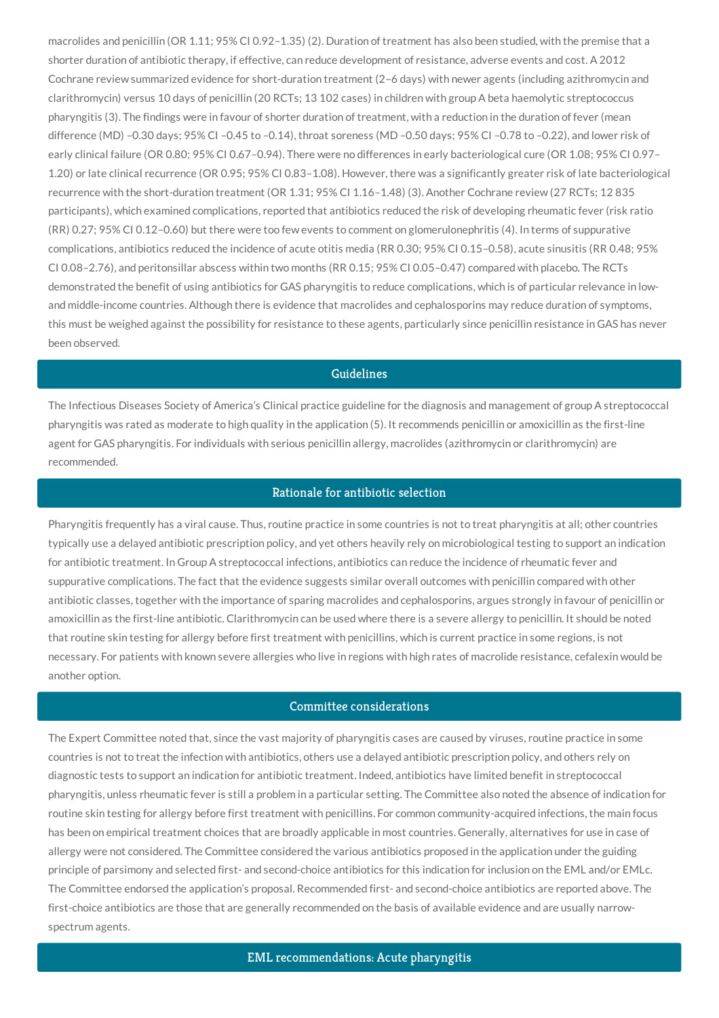macrolides and penicillin (OR 1.11; 95% CI 0.92–1.35) (2). Duration of treatment has also been studied, with the premise that a shorter duration of antibiotic therapy, if effective, can reduce development of resistance, adverse events and cost. A 2012 Cochrane review summarized evidence for short-duration treatment (2–6 days) with newer agents (including azithromycin and clarithromycin) versus 10 days of penicillin (20 RCTs; 13 102 cases) in children with group A beta haemolytic streptococcus pharyngitis (3). The findings were in favour of shorter duration of treatment, with a reduction in the duration of fever (mean difference (MD) –0.30 days; 95% CI –0.45 to –0.14), throat soreness (MD –0.50 days; 95% CI –0.78 to –0.22), and lower risk of early clinical failure (OR 0.80; 95% CI 0.67–0.94). There were no differences in early bacteriological cure (OR 1.08; 95% CI 0.97– 1.20) or late clinical recurrence (OR 0.95; 95% CI 0.83–1.08). However, there was a significantly greater risk of late bacteriological recurrence with the short-duration treatment (OR 1.31; 95% CI 1.16–1.48) (3). Another Cochrane review (27 RCTs; 12 835 participants), which examined complications, reported that antibiotics reduced the risk of developing rheumatic fever (risk ratio (RR) 0.27; 95% CI 0.12–0.60) but there were too few events to comment on glomerulonephritis (4). In terms of suppurative complications, antibiotics reduced the incidence of acute otitis media (RR 0.30; 95% CI 0.15–0.58), acute sinusitis (RR 0.48; 95% CI 0.08–2.76), and peritonsillar abscess within two months (RR 0.15; 95% CI 0.05–0.47) compared with placebo. The RCTs demonstrated the benefit of using antibiotics for GAS pharyngitis to reduce complications, which is of particular relevance in lowand middle-income countries. Although there is evidence that macrolides and cephalosporins may reduce duration of symptoms, this must be weighed against the possibility for resistance to these agents, particularly since penicillin resistance in GAS has never been observed.

### Guidelines

The Infectious Diseases Society of America's Clinical practice guideline for the diagnosis and management of group A streptococcal pharyngitis was rated as moderate to high quality in the application (5). It recommends penicillin or amoxicillin as the first-line agent for GAS pharyngitis. For individuals with serious penicillin allergy, macrolides (azithromycin or clarithromycin) are recommended.

# Rationale for antibiotic selection

Pharyngitis frequently has a viral cause. Thus, routine practice in some countries is not to treat pharyngitis at all; other countries typically use a delayed antibiotic prescription policy, and yet others heavily rely on microbiological testing to support an indication for antibiotic treatment. In Group A streptococcal infections, antibiotics can reduce the incidence of rheumatic fever and suppurative complications. The fact that the evidence suggests similar overall outcomes with penicillin compared with other antibiotic classes, together with the importance of sparing macrolides and cephalosporins, argues strongly in favour of penicillin or amoxicillin as the first-line antibiotic. Clarithromycin can be used where there is a severe allergy to penicillin. It should be noted that routine skin testing for allergy before first treatment with penicillins, which is current practice in some regions, is not necessary. For patients with known severe allergies who live in regions with high rates of macrolide resistance, cefalexin would be another option.

#### Committee considerations

The Expert Committee noted that, since the vast majority of pharyngitis cases are caused by viruses, routine practice in some countries is not to treat the infection with antibiotics, others use a delayed antibiotic prescription policy, and others rely on diagnostic tests to support an indication for antibiotic treatment. Indeed, antibiotics have limited benefit in streptococcal pharyngitis, unless rheumatic fever is still a problem in a particular setting. The Committee also noted the absence of indication for routine skin testing for allergy before first treatment with penicillins. For common community-acquired infections, the main focus has been on empirical treatment choices that are broadly applicable in most countries. Generally, alternatives for use in case of allergy were not considered. The Committee considered the various antibiotics proposed in the application under the guiding principle of parsimony and selected first- and second-choice antibiotics for this indication for inclusion on the EML and/or EMLc. The Committee endorsed the application's proposal. Recommended first- and second-choice antibiotics are reported above. The first-choice antibiotics are those that are generally recommended on the basis of available evidence and are usually narrowspectrum agents.

EML recommendations: Acute pharyngitis